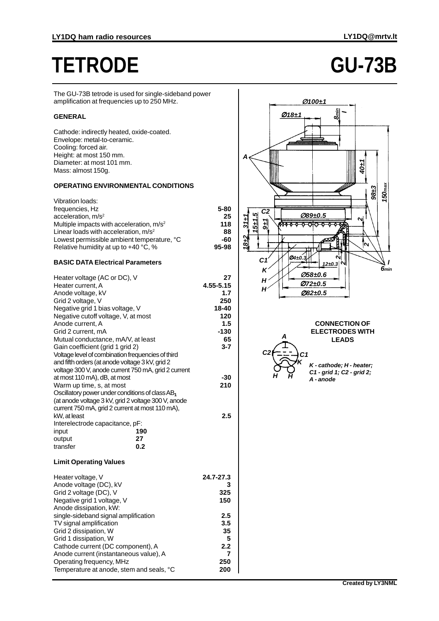# **TETRODE GU-73B**

The GU-73B tetrode is used for single-sideband power amplification at frequencies up to 250 MHz.

# **GENERAL**

Cathode: indirectly heated, oxide-coated. Envelope: metal-to-ceramic. Cooling: forced air. Height: at most 150 mm. Diameter: at most 101 mm. Mass: almost 150g.

## **OPERATING ENVIRONMENTAL CONDITIONS**

| Vibration loads:                                 |       |
|--------------------------------------------------|-------|
| frequencies, Hz                                  | 5-80  |
| acceleration, $m/s2$                             | 25    |
| Multiple impacts with acceleration, $m/s2$       | 118   |
| Linear loads with acceleration, m/s <sup>2</sup> | 88    |
| Lowest permissible ambient temperature, °C       | -60   |
| Relative humidity at up to $+40$ °C, %           | 95-98 |
|                                                  |       |

## **BASIC DATA Electrical Parameters**

| Heater voltage (AC or DC), V                        | 27        |
|-----------------------------------------------------|-----------|
| Heater current, A                                   | 4.55-5.15 |
| Anode voltage, kV                                   | 1.7       |
| Grid 2 voltage, V                                   | 250       |
| Negative grid 1 bias voltage, V                     | 18-40     |
| Negative cutoff voltage, V, at most                 | 120       |
| Anode current, A                                    | 1.5       |
| Grid 2 current, mA                                  | $-130$    |
| Mutual conductance, mA/V, at least                  | 65        |
| Gain coefficient (grid 1 grid 2)                    | 3-7       |
| Voltage level of combination frequencies of third   |           |
| and fifth orders (at anode voltage 3 kV, grid 2     |           |
|                                                     |           |
| voltage 300 V, anode current 750 mA, grid 2 current |           |
| at most 110 mA), dB, at most                        | -30       |
| Warm up time, s, at most                            | 210       |
| Oscillatory power under conditions of class $AB_1$  |           |
| (at anode voltage 3 kV, grid 2 voltage 300 V, anode |           |
| current 750 mA, grid 2 current at most 110 mA),     |           |
| kW, at least                                        | 2.5       |
| Interelectrode capacitance, pF:                     |           |
| 190<br>input                                        |           |
| 27<br>output                                        |           |
| transfer<br>0.2                                     |           |
| <b>Limit Operating Values</b>                       |           |
| Heater voltage, V                                   | 24.7-27.3 |
| Anode voltage (DC), kV                              | З         |
| Grid 2 voltage (DC), V                              | 325       |
| Negative grid 1 voltage, V                          | 150       |
| Anode dissipation, kW:                              |           |
| single-sideband signal amplification                | 2.5       |
| TV signal amplification                             | 3.5       |
| Grid 2 dissipation, W                               | 35        |
| Grid 1 dissipation, W                               | 5         |
|                                                     | 2.2       |
| Cathode current (DC component), A                   | 7         |
| Anode current (instantaneous value), A              |           |
| Operating frequency, MHz                            | 250       |
| Temperature at anode, stem and seals, °C            | 200       |